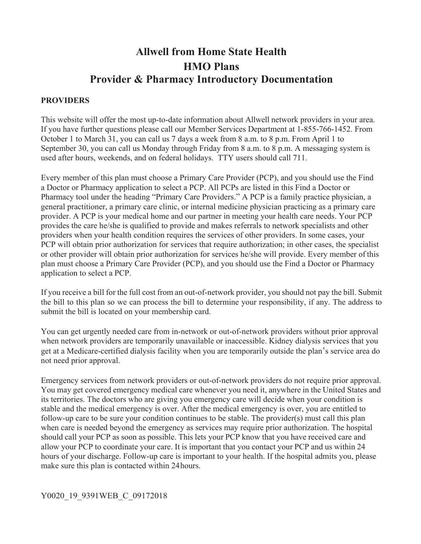# **Allwell from Home State Health HMO Plans Provider & Pharmacy Introductory Documentation**

#### **PROVIDERS**

 October 1 to March 31, you can call us 7 days a week from 8 a.m. to 8 p.m. From April 1 to September 30, you can call us Monday through Friday from 8 a.m. to 8 p.m. A messaging system is This website will offer the most up-to-date information about Allwell network providers in your area. If you have further questions please call our Member Services Department at 1-855-766-1452. From used after hours, weekends, and on federal holidays. TTY users should call 711.

 plan must choose a Primary Care Provider (PCP), and you should use the Find a Doctor or Pharmacy Every member of this plan must choose a Primary Care Provider (PCP), and you should use the Find a Doctor or Pharmacy application to select a PCP. All PCPs are listed in this Find a Doctor or Pharmacy tool under the heading "Primary Care Providers." A PCP is a family practice physician, a general practitioner, a primary care clinic, or internal medicine physician practicing as a primary care provider. A PCP is your medical home and our partner in meeting your health care needs. Your PCP provides the care he/she is qualified to provide and makes referrals to network specialists and other providers when your health condition requires the services of other providers. In some cases, your PCP will obtain prior authorization for services that require authorization; in other cases, the specialist or other provider will obtain prior authorization for services he/she will provide. Every member of this application to select a PCP.

 the bill to this plan so we can process the bill to determine your responsibility, if any. The address to If you receive a bill for the full cost from an out-of-network provider, you should not pay the bill. Submit submit the bill is located on your membership card.

 get at a Medicare-certified dialysis facility when you are temporarily outside the plan's service area do You can get urgently needed care from in-network or out-of-network providers without prior approval when network providers are temporarily unavailable or inaccessible. Kidney dialysis services that you not need prior approval.

 make sure this plan is contacted within 24hours. Emergency services from network providers or out-of-network providers do not require prior approval. You may get covered emergency medical care whenever you need it, anywhere in the United States and its territories. The doctors who are giving you emergency care will decide when your condition is stable and the medical emergency is over. After the medical emergency is over, you are entitled to follow-up care to be sure your condition continues to be stable. The provider(s) must call this plan when care is needed beyond the emergency as services may require prior authorization. The hospital should call your PCP as soon as possible. This lets your PCP know that you have received care and allow your PCP to coordinate your care. It is important that you contact your PCP and us within 24 hours of your discharge. Follow-up care is important to your health. If the hospital admits you, please

#### Y0020\_19\_9391WEB\_C\_09172018